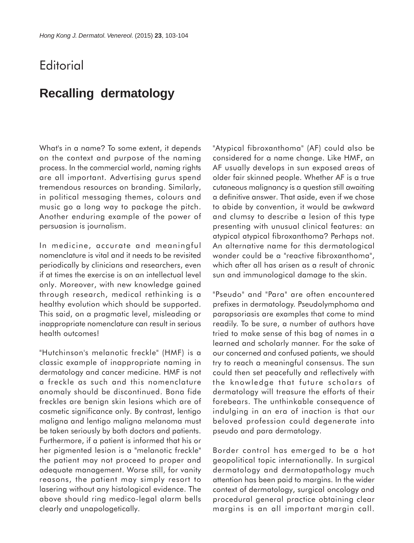## **Editorial**

## **Recalling dermatology**

What's in a name? To some extent, it depends on the context and purpose of the naming process. In the commercial world, naming rights are all important. Advertising gurus spend tremendous resources on branding. Similarly, in political messaging themes, colours and music go a long way to package the pitch. Another enduring example of the power of persuasion is journalism.

In medicine, accurate and meaningful nomenclature is vital and it needs to be revisited periodically by clinicians and researchers, even if at times the exercise is on an intellectual level only. Moreover, with new knowledge gained through research, medical rethinking is a healthy evolution which should be supported. This said, on a pragmatic level, misleading or inappropriate nomenclature can result in serious health outcomes!

"Hutchinson's melanotic freckle" (HMF) is a classic example of inappropriate naming in dermatology and cancer medicine. HMF is not a freckle as such and this nomenclature anomaly should be discontinued. Bona fide freckles are benign skin lesions which are of cosmetic significance only. By contrast, lentigo maligna and lentigo maligna melanoma must be taken seriously by both doctors and patients. Furthermore, if a patient is informed that his or her pigmented lesion is a "melanotic freckle" the patient may not proceed to proper and adequate management. Worse still, for vanity reasons, the patient may simply resort to lasering without any histological evidence. The above should ring medico-legal alarm bells clearly and unapologetically.

"Atypical fibroxanthoma" (AF) could also be considered for a name change. Like HMF, an AF usually develops in sun exposed areas of older fair skinned people. Whether AF is a true cutaneous malignancy is a question still awaiting a definitive answer. That aside, even if we chose to abide by convention, it would be awkward and clumsy to describe a lesion of this type presenting with unusual clinical features: an atypical atypical fibroxanthoma? Perhaps not. An alternative name for this dermatological wonder could be a "reactive fibroxanthoma", which after all has arisen as a result of chronic sun and immunological damage to the skin.

"Pseudo" and "Para" are often encountered prefixes in dermatology. Pseudolymphoma and parapsoriasis are examples that come to mind readily. To be sure, a number of authors have tried to make sense of this bag of names in a learned and scholarly manner. For the sake of our concerned and confused patients, we should try to reach a meaningful consensus. The sun could then set peacefully and reflectively with the knowledge that future scholars of dermatology will treasure the efforts of their forebears. The unthinkable consequence of indulging in an era of inaction is that our beloved profession could degenerate into pseudo and para dermatology.

Border control has emerged to be a hot geopolitical topic internationally. In surgical dermatology and dermatopathology much attention has been paid to margins. In the wider context of dermatology, surgical oncology and procedural general practice obtaining clear margins is an all important margin call.